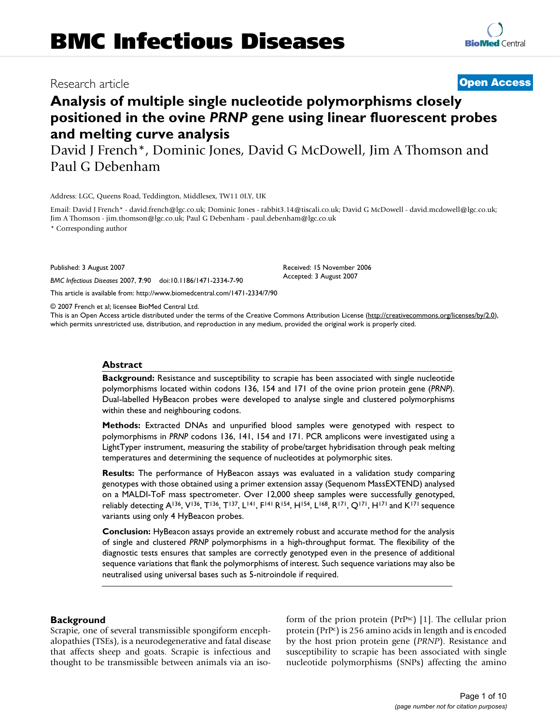## Research article **[Open Access](http://www.biomedcentral.com/info/about/charter/)**

## **[BioMed](http://www.biomedcentral.com/)** Central

## **Analysis of multiple single nucleotide polymorphisms closely positioned in the ovine** *PRNP* **gene using linear fluorescent probes and melting curve analysis**

David J French\*, Dominic Jones, David G McDowell, Jim A Thomson and Paul G Debenham

Address: LGC, Queens Road, Teddington, Middlesex, TW11 0LY, UK

Email: David J French\* - david.french@lgc.co.uk; Dominic Jones - rabbit3.14@tiscali.co.uk; David G McDowell - david.mcdowell@lgc.co.uk; Jim A Thomson - jim.thomson@lgc.co.uk; Paul G Debenham - paul.debenham@lgc.co.uk

\* Corresponding author

Published: 3 August 2007

*BMC Infectious Diseases* 2007, **7**:90 doi:10.1186/1471-2334-7-90

[This article is available from: http://www.biomedcentral.com/1471-2334/7/90](http://www.biomedcentral.com/1471-2334/7/90)

© 2007 French et al; licensee BioMed Central Ltd.

This is an Open Access article distributed under the terms of the Creative Commons Attribution License [\(http://creativecommons.org/licenses/by/2.0\)](http://creativecommons.org/licenses/by/2.0), which permits unrestricted use, distribution, and reproduction in any medium, provided the original work is properly cited.

Received: 15 November 2006 Accepted: 3 August 2007

#### **Abstract**

**Background:** Resistance and susceptibility to scrapie has been associated with single nucleotide polymorphisms located within codons 136, 154 and 171 of the ovine prion protein gene (*PRNP*). Dual-labelled HyBeacon probes were developed to analyse single and clustered polymorphisms within these and neighbouring codons.

**Methods:** Extracted DNAs and unpurified blood samples were genotyped with respect to polymorphisms in *PRNP* codons 136, 141, 154 and 171. PCR amplicons were investigated using a LightTyper instrument, measuring the stability of probe/target hybridisation through peak melting temperatures and determining the sequence of nucleotides at polymorphic sites.

**Results:** The performance of HyBeacon assays was evaluated in a validation study comparing genotypes with those obtained using a primer extension assay (Sequenom MassEXTEND) analysed on a MALDI-ToF mass spectrometer. Over 12,000 sheep samples were successfully genotyped, reliably detecting A<sup>136</sup>, V<sup>136</sup>, T<sup>136</sup>, T<sup>137</sup>, L<sup>141</sup>, F<sup>141</sup> R<sup>154</sup>, H<sup>154</sup>, L<sup>168</sup>, R<sup>171</sup>, Q<sup>171</sup>, H<sup>171</sup> and K<sup>171</sup> sequence variants using only 4 HyBeacon probes.

**Conclusion:** HyBeacon assays provide an extremely robust and accurate method for the analysis of single and clustered *PRNP* polymorphisms in a high-throughput format. The flexibility of the diagnostic tests ensures that samples are correctly genotyped even in the presence of additional sequence variations that flank the polymorphisms of interest. Such sequence variations may also be neutralised using universal bases such as 5-nitroindole if required.

#### **Background**

Scrapie, one of several transmissible spongiform encephalopathies (TSEs), is a neurodegenerative and fatal disease that affects sheep and goats. Scrapie is infectious and thought to be transmissible between animals via an isoform of the prion protein (PrPsc) [1]. The cellular prion protein (PrPc) is 256 amino acids in length and is encoded by the host prion protein gene (*PRNP*). Resistance and susceptibility to scrapie has been associated with single nucleotide polymorphisms (SNPs) affecting the amino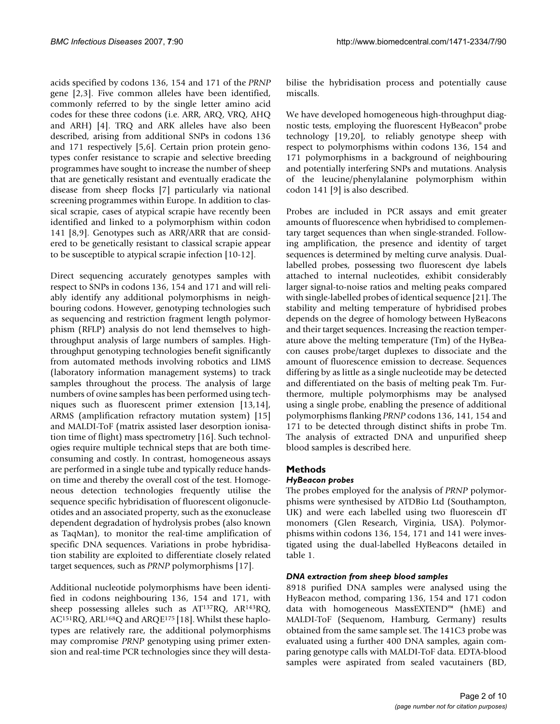acids specified by codons 136, 154 and 171 of the *PRNP* gene [2,3]. Five common alleles have been identified, commonly referred to by the single letter amino acid codes for these three codons (i.e. ARR, ARQ, VRQ, AHQ and ARH) [4]. TRQ and ARK alleles have also been described, arising from additional SNPs in codons 136 and 171 respectively [5,6]. Certain prion protein genotypes confer resistance to scrapie and selective breeding programmes have sought to increase the number of sheep that are genetically resistant and eventually eradicate the disease from sheep flocks [7] particularly via national screening programmes within Europe. In addition to classical scrapie, cases of atypical scrapie have recently been identified and linked to a polymorphism within codon 141 [8,9]. Genotypes such as ARR/ARR that are considered to be genetically resistant to classical scrapie appear to be susceptible to atypical scrapie infection [10-12].

Direct sequencing accurately genotypes samples with respect to SNPs in codons 136, 154 and 171 and will reliably identify any additional polymorphisms in neighbouring codons. However, genotyping technologies such as sequencing and restriction fragment length polymorphism (RFLP) analysis do not lend themselves to highthroughput analysis of large numbers of samples. Highthroughput genotyping technologies benefit significantly from automated methods involving robotics and LIMS (laboratory information management systems) to track samples throughout the process. The analysis of large numbers of ovine samples has been performed using techniques such as fluorescent primer extension [13,14], ARMS (amplification refractory mutation system) [15] and MALDI-ToF (matrix assisted laser desorption ionisation time of flight) mass spectrometry [16]. Such technologies require multiple technical steps that are both timeconsuming and costly. In contrast, homogeneous assays are performed in a single tube and typically reduce handson time and thereby the overall cost of the test. Homogeneous detection technologies frequently utilise the sequence specific hybridisation of fluorescent oligonucleotides and an associated property, such as the exonuclease dependent degradation of hydrolysis probes (also known as TaqMan), to monitor the real-time amplification of specific DNA sequences. Variations in probe hybridisation stability are exploited to differentiate closely related target sequences, such as *PRNP* polymorphisms [17].

Additional nucleotide polymorphisms have been identified in codons neighbouring 136, 154 and 171, with sheep possessing alleles such as AT137RQ, AR143RQ, AC151RQ, ARL168Q and ARQE175 [18]. Whilst these haplotypes are relatively rare, the additional polymorphisms may compromise *PRNP* genotyping using primer extension and real-time PCR technologies since they will destabilise the hybridisation process and potentially cause miscalls.

We have developed homogeneous high-throughput diagnostic tests, employing the fluorescent HyBeacon® probe technology [19,20], to reliably genotype sheep with respect to polymorphisms within codons 136, 154 and 171 polymorphisms in a background of neighbouring and potentially interfering SNPs and mutations. Analysis of the leucine/phenylalanine polymorphism within codon 141 [9] is also described.

Probes are included in PCR assays and emit greater amounts of fluorescence when hybridised to complementary target sequences than when single-stranded. Following amplification, the presence and identity of target sequences is determined by melting curve analysis. Duallabelled probes, possessing two fluorescent dye labels attached to internal nucleotides, exhibit considerably larger signal-to-noise ratios and melting peaks compared with single-labelled probes of identical sequence [21]. The stability and melting temperature of hybridised probes depends on the degree of homology between HyBeacons and their target sequences. Increasing the reaction temperature above the melting temperature (Tm) of the HyBeacon causes probe/target duplexes to dissociate and the amount of fluorescence emission to decrease. Sequences differing by as little as a single nucleotide may be detected and differentiated on the basis of melting peak Tm. Furthermore, multiple polymorphisms may be analysed using a single probe, enabling the presence of additional polymorphisms flanking *PRNP* codons 136, 141, 154 and 171 to be detected through distinct shifts in probe Tm. The analysis of extracted DNA and unpurified sheep blood samples is described here.

## **Methods**

## *HyBeacon probes*

The probes employed for the analysis of *PRNP* polymorphisms were synthesised by ATDBio Ltd (Southampton, UK) and were each labelled using two fluorescein dT monomers (Glen Research, Virginia, USA). Polymorphisms within codons 136, 154, 171 and 141 were investigated using the dual-labelled HyBeacons detailed in table 1.

#### *DNA extraction from sheep blood samples*

8918 purified DNA samples were analysed using the HyBeacon method, comparing 136, 154 and 171 codon data with homogeneous MassEXTEND™ (hME) and MALDI-ToF (Sequenom, Hamburg, Germany) results obtained from the same sample set. The 141C3 probe was evaluated using a further 400 DNA samples, again comparing genotype calls with MALDI-ToF data. EDTA-blood samples were aspirated from sealed vacutainers (BD,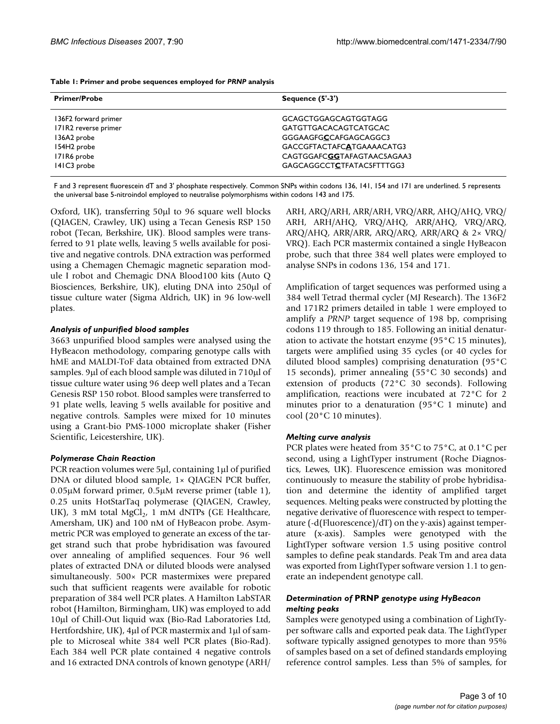| <b>Primer/Probe</b>     | Sequence $(5'-3')$           |
|-------------------------|------------------------------|
| 136F2 forward primer    | <b>GCAGCTGGAGCAGTGGTAGG</b>  |
| 171R2 reverse primer    | <b>GATGTTGACACAGTCATGCAC</b> |
| 136A2 probe             | GGGAAGFGCCAFGAGCAGGC3        |
| 154H <sub>2</sub> probe | GACCGFTACTAFCATGAAAACATG3    |
| 171R6 probe             | CAGTGGAFCGGTAFAGTAAC5AGAA3   |
| 141C3 probe             | GAGCAGGCCTCTFATAC5FTTTGG3    |

F and 3 represent fluorescein dT and 3' phosphate respectively. Common SNPs within codons 136, 141, 154 and 171 are underlined. 5 represents the universal base 5-nitroindol employed to neutralise polymorphisms within codons 143 and 175.

Oxford, UK), transferring 50μl to 96 square well blocks (QIAGEN, Crawley, UK) using a Tecan Genesis RSP 150 robot (Tecan, Berkshire, UK). Blood samples were transferred to 91 plate wells, leaving 5 wells available for positive and negative controls. DNA extraction was performed using a Chemagen Chemagic magnetic separation module I robot and Chemagic DNA Blood100 kits (Auto Q Biosciences, Berkshire, UK), eluting DNA into 250μl of tissue culture water (Sigma Aldrich, UK) in 96 low-well plates.

### *Analysis of unpurified blood samples*

3663 unpurified blood samples were analysed using the HyBeacon methodology, comparing genotype calls with hME and MALDI-ToF data obtained from extracted DNA samples. 9μl of each blood sample was diluted in 710μl of tissue culture water using 96 deep well plates and a Tecan Genesis RSP 150 robot. Blood samples were transferred to 91 plate wells, leaving 5 wells available for positive and negative controls. Samples were mixed for 10 minutes using a Grant-bio PMS-1000 microplate shaker (Fisher Scientific, Leicestershire, UK).

## *Polymerase Chain Reaction*

PCR reaction volumes were 5μl, containing 1μl of purified DNA or diluted blood sample, 1× QIAGEN PCR buffer, 0.05μM forward primer, 0.5μM reverse primer (table 1), 0.25 units HotStarTaq polymerase (QIAGEN, Crawley, UK), 3 mM total MgCl<sub>2</sub>, 1 mM dNTPs (GE Healthcare, Amersham, UK) and 100 nM of HyBeacon probe. Asymmetric PCR was employed to generate an excess of the target strand such that probe hybridisation was favoured over annealing of amplified sequences. Four 96 well plates of extracted DNA or diluted bloods were analysed simultaneously. 500× PCR mastermixes were prepared such that sufficient reagents were available for robotic preparation of 384 well PCR plates. A Hamilton LabSTAR robot (Hamilton, Birmingham, UK) was employed to add 10μl of Chill-Out liquid wax (Bio-Rad Laboratories Ltd, Hertfordshire, UK), 4μl of PCR mastermix and 1μl of sample to Microseal white 384 well PCR plates (Bio-Rad). Each 384 well PCR plate contained 4 negative controls and 16 extracted DNA controls of known genotype (ARH/

ARH, ARQ/ARH, ARR/ARH, VRQ/ARR, AHQ/AHQ, VRQ/ ARH, ARH/AHQ, VRQ/AHQ, ARR/AHQ, VRQ/ARQ, ARQ/AHQ, ARR/ARR, ARQ/ARQ, ARR/ARQ & 2× VRQ/ VRQ). Each PCR mastermix contained a single HyBeacon probe, such that three 384 well plates were employed to analyse SNPs in codons 136, 154 and 171.

Amplification of target sequences was performed using a 384 well Tetrad thermal cycler (MJ Research). The 136F2 and 171R2 primers detailed in table 1 were employed to amplify a *PRNP* target sequence of 198 bp, comprising codons 119 through to 185. Following an initial denaturation to activate the hotstart enzyme (95°C 15 minutes), targets were amplified using 35 cycles (or 40 cycles for diluted blood samples) comprising denaturation (95°C 15 seconds), primer annealing (55°C 30 seconds) and extension of products (72°C 30 seconds). Following amplification, reactions were incubated at 72°C for 2 minutes prior to a denaturation (95°C 1 minute) and cool (20°C 10 minutes).

## *Melting curve analysis*

PCR plates were heated from 35°C to 75°C, at 0.1°C per second, using a LightTyper instrument (Roche Diagnostics, Lewes, UK). Fluorescence emission was monitored continuously to measure the stability of probe hybridisation and determine the identity of amplified target sequences. Melting peaks were constructed by plotting the negative derivative of fluorescence with respect to temperature (-d(Fluorescence)/dT) on the y-axis) against temperature (x-axis). Samples were genotyped with the LightTyper software version 1.5 using positive control samples to define peak standards. Peak Tm and area data was exported from LightTyper software version 1.1 to generate an independent genotype call.

## *Determination of* **PRNP** *genotype using HyBeacon melting peaks*

Samples were genotyped using a combination of LightTyper software calls and exported peak data. The LightTyper software typically assigned genotypes to more than 95% of samples based on a set of defined standards employing reference control samples. Less than 5% of samples, for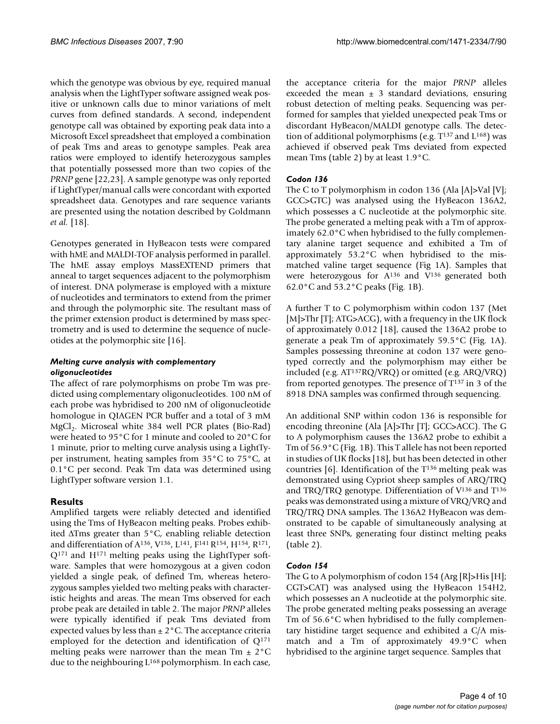which the genotype was obvious by eye, required manual analysis when the LightTyper software assigned weak positive or unknown calls due to minor variations of melt curves from defined standards. A second, independent genotype call was obtained by exporting peak data into a Microsoft Excel spreadsheet that employed a combination of peak Tms and areas to genotype samples. Peak area ratios were employed to identify heterozygous samples that potentially possessed more than two copies of the *PRNP* gene [22,23]. A sample genotype was only reported if LightTyper/manual calls were concordant with exported spreadsheet data. Genotypes and rare sequence variants are presented using the notation described by Goldmann *et al.* [18].

Genotypes generated in HyBeacon tests were compared with hME and MALDI-TOF analysis performed in parallel. The hME assay employs MassEXTEND primers that anneal to target sequences adjacent to the polymorphism of interest. DNA polymerase is employed with a mixture of nucleotides and terminators to extend from the primer and through the polymorphic site. The resultant mass of the primer extension product is determined by mass spectrometry and is used to determine the sequence of nucleotides at the polymorphic site [16].

## *Melting curve analysis with complementary oligonucleotides*

The affect of rare polymorphisms on probe Tm was predicted using complementary oligonucleotides. 100 nM of each probe was hybridised to 200 nM of oligonucleotide homologue in QIAGEN PCR buffer and a total of 3 mM MgCl<sub>2</sub>. Microseal white 384 well PCR plates (Bio-Rad) were heated to 95°C for 1 minute and cooled to 20°C for 1 minute, prior to melting curve analysis using a LightTyper instrument, heating samples from 35°C to 75°C, at 0.1°C per second. Peak Tm data was determined using LightTyper software version 1.1.

## **Results**

Amplified targets were reliably detected and identified using the Tms of HyBeacon melting peaks. Probes exhibited ΔTms greater than 5°C, enabling reliable detection and differentiation of A136, V136, L141, F141 R154, H154, R171, Q171 and H171 melting peaks using the LightTyper software. Samples that were homozygous at a given codon yielded a single peak, of defined Tm, whereas heterozygous samples yielded two melting peaks with characteristic heights and areas. The mean Tms observed for each probe peak are detailed in table 2. The major *PRNP* alleles were typically identified if peak Tms deviated from expected values by less than  $\pm 2^{\circ}$ C. The acceptance criteria employed for the detection and identification of  $Q^{171}$ melting peaks were narrower than the mean Tm  $\pm 2^{\circ}$ C due to the neighbouring L<sup>168</sup> polymorphism. In each case,

the acceptance criteria for the major *PRNP* alleles exceeded the mean  $\pm$  3 standard deviations, ensuring robust detection of melting peaks. Sequencing was performed for samples that yielded unexpected peak Tms or discordant HyBeacon/MALDI genotype calls. The detection of additional polymorphisms (e.g.  $T^{137}$  and  $L^{168}$ ) was achieved if observed peak Tms deviated from expected mean Tms (table 2) by at least 1.9°C.

## *Codon 136*

The C to T polymorphism in codon 136 (Ala [A]>Val [V]; GCC>GTC) was analysed using the HyBeacon 136A2, which possesses a C nucleotide at the polymorphic site. The probe generated a melting peak with a Tm of approximately 62.0°C when hybridised to the fully complementary alanine target sequence and exhibited a Tm of approximately 53.2°C when hybridised to the mismatched valine target sequence (Fig 1A). Samples that were heterozygous for A136 and V136 generated both 62.0°C and 53.2°C peaks (Fig. 1B).

A further T to C polymorphism within codon 137 (Met [M]>Thr [T]; ATG>ACG], with a frequency in the UK flock of approximately 0.012 [18], caused the 136A2 probe to generate a peak Tm of approximately 59.5°C (Fig. 1A). Samples possessing threonine at codon 137 were genotyped correctly and the polymorphism may either be included (e.g. AT137RQ/VRQ) or omitted (e.g. ARQ/VRQ) from reported genotypes. The presence of  $T^{137}$  in 3 of the 8918 DNA samples was confirmed through sequencing.

An additional SNP within codon 136 is responsible for encoding threonine (Ala [A]>Thr [T]; GCC>ACC). The G to A polymorphism causes the 136A2 probe to exhibit a Tm of 56.9°C (Fig. 1B). This T allele has not been reported in studies of UK flocks [18], but has been detected in other countries [6]. Identification of the T136 melting peak was demonstrated using Cypriot sheep samples of ARQ/TRQ and TRQ/TRQ genotype. Differentiation of  $V^{136}$  and  $T^{136}$ peaks was demonstrated using a mixture of VRQ/VRQ and TRQ/TRQ DNA samples. The 136A2 HyBeacon was demonstrated to be capable of simultaneously analysing at least three SNPs, generating four distinct melting peaks (table 2).

## *Codon 154*

The G to A polymorphism of codon 154 (Arg [R]>His [H]; CGT>CAT) was analysed using the HyBeacon 154H2, which possesses an A nucleotide at the polymorphic site. The probe generated melting peaks possessing an average Tm of 56.6°C when hybridised to the fully complementary histidine target sequence and exhibited a C/A mismatch and a Tm of approximately 49.9°C when hybridised to the arginine target sequence. Samples that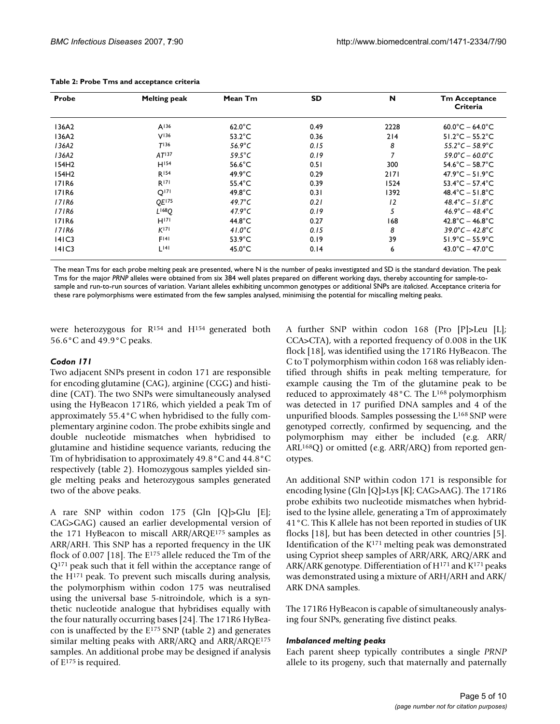| Probe | <b>Melting peak</b> | Mean Tm          | SD   | N              | <b>Tm Acceptance</b><br>Criteria     |
|-------|---------------------|------------------|------|----------------|--------------------------------------|
| 136A2 | A136                | $62.0^{\circ}$ C | 0.49 | 2228           | $60.0^{\circ}$ C – 64.0 $^{\circ}$ C |
| 136A2 | V <sup>136</sup>    | $53.2^{\circ}$ C | 0.36 | 214            | $51.2^{\circ}$ C – $55.2^{\circ}$ C  |
| 136A2 | T136                | 56.9 $\degree$ C | 0.15 | 8              | $55.2^{\circ}C - 58.9^{\circ}C$      |
| 136A2 | AT <sup>137</sup>   | $59.5^{\circ}$ C | 0.19 | $\overline{7}$ | $59.0^{\circ}C - 60.0^{\circ}C$      |
| 154H2 | $H^{154}$           | $56.6^{\circ}$ C | 0.51 | 300            | $54.6^{\circ}$ C – 58.7 $^{\circ}$ C |
| 154H2 | R <sub>154</sub>    | $49.9^{\circ}$ C | 0.29 | 2171           | $47.9^{\circ}$ C – 51.9 $^{\circ}$ C |
| 171R6 | R <sup>171</sup>    | $55.4^{\circ}$ C | 0.39 | 1524           | $53.4^{\circ}$ C – 57.4 $^{\circ}$ C |
| 171R6 | Q <sup>171</sup>    | $49.8^{\circ}$ C | 0.31 | 1392           | $48.4^{\circ}$ C – 51.8 $^{\circ}$ C |
| 171R6 | OE175               | 49.7 $\degree$ C | 0.21 | 12             | $48.4^{\circ}C - 51.8^{\circ}C$      |
| 171R6 | $L^{168}O$          | 47.9 $\degree$ C | 0.19 | 5              | $46.9^{\circ}C - 48.4^{\circ}C$      |
| 171R6 | H <sup>171</sup>    | $44.8^{\circ}$ C | 0.27 | 168            | $42.8^{\circ}$ C – $46.8^{\circ}$ C  |
| 171R6 | K <sup>171</sup>    | 41.0 $\degree$ C | 0.15 | 8              | $39.0^{\circ}C - 42.8^{\circ}C$      |
| 4 C3  | F141                | $53.9^{\circ}$ C | 0.19 | 39             | $51.9^{\circ}$ C – $55.9^{\circ}$ C  |
| 141C3 | 14                  | $45.0^{\circ}$ C | 0.14 | 6              | $43.0^{\circ}$ C $- 47.0^{\circ}$ C  |

#### **Table 2: Probe Tms and acceptance criteria**

The mean Tms for each probe melting peak are presented, where N is the number of peaks investigated and SD is the standard deviation. The peak Tms for the major *PRNP* alleles were obtained from six 384 well plates prepared on different working days, thereby accounting for sample-tosample and run-to-run sources of variation. Variant alleles exhibiting uncommon genotypes or additional SNPs are *italicised*. Acceptance criteria for these rare polymorphisms were estimated from the few samples analysed, minimising the potential for miscalling melting peaks.

were heterozygous for R154 and H154 generated both 56.6°C and 49.9°C peaks.

#### *Codon 171*

Two adjacent SNPs present in codon 171 are responsible for encoding glutamine (CAG), arginine (CGG) and histidine (CAT). The two SNPs were simultaneously analysed using the HyBeacon 171R6, which yielded a peak Tm of approximately 55.4°C when hybridised to the fully complementary arginine codon. The probe exhibits single and double nucleotide mismatches when hybridised to glutamine and histidine sequence variants, reducing the Tm of hybridisation to approximately 49.8°C and 44.8°C respectively (table 2). Homozygous samples yielded single melting peaks and heterozygous samples generated two of the above peaks.

A rare SNP within codon 175 (Gln [Q]>Glu [E]; CAG>GAG) caused an earlier developmental version of the 171 HyBeacon to miscall ARR/ARQE175 samples as ARR/ARH. This SNP has a reported frequency in the UK flock of 0.007 [18]. The E175 allele reduced the Tm of the Q171 peak such that it fell within the acceptance range of the  $H^{171}$  peak. To prevent such miscalls during analysis, the polymorphism within codon 175 was neutralised using the universal base 5-nitroindole, which is a synthetic nucleotide analogue that hybridises equally with the four naturally occurring bases [24]. The 171R6 HyBeacon is unaffected by the E175 SNP (table 2) and generates similar melting peaks with ARR/ARQ and ARR/ARQE175 samples. An additional probe may be designed if analysis of E175 is required.

A further SNP within codon 168 (Pro [P]>Leu [L]; CCA>CTA), with a reported frequency of 0.008 in the UK flock [18], was identified using the 171R6 HyBeacon. The C to T polymorphism within codon 168 was reliably identified through shifts in peak melting temperature, for example causing the Tm of the glutamine peak to be reduced to approximately 48°C. The L<sup>168</sup> polymorphism was detected in 17 purified DNA samples and 4 of the unpurified bloods. Samples possessing the L168 SNP were genotyped correctly, confirmed by sequencing, and the polymorphism may either be included (e.g. ARR/ ARL168Q) or omitted (e.g. ARR/ARQ) from reported genotypes.

An additional SNP within codon 171 is responsible for encoding lysine (Gln [Q]>Lys [K]; CAG>AAG). The 171R6 probe exhibits two nucleotide mismatches when hybridised to the lysine allele, generating a Tm of approximately 41°C. This K allele has not been reported in studies of UK flocks [18], but has been detected in other countries [5]. Identification of the  $K^{171}$  melting peak was demonstrated using Cypriot sheep samples of ARR/ARK, ARQ/ARK and ARK/ARK genotype. Differentiation of H171 and K171 peaks was demonstrated using a mixture of ARH/ARH and ARK/ ARK DNA samples.

The 171R6 HyBeacon is capable of simultaneously analysing four SNPs, generating five distinct peaks.

#### *Imbalanced melting peaks*

Each parent sheep typically contributes a single *PRNP* allele to its progeny, such that maternally and paternally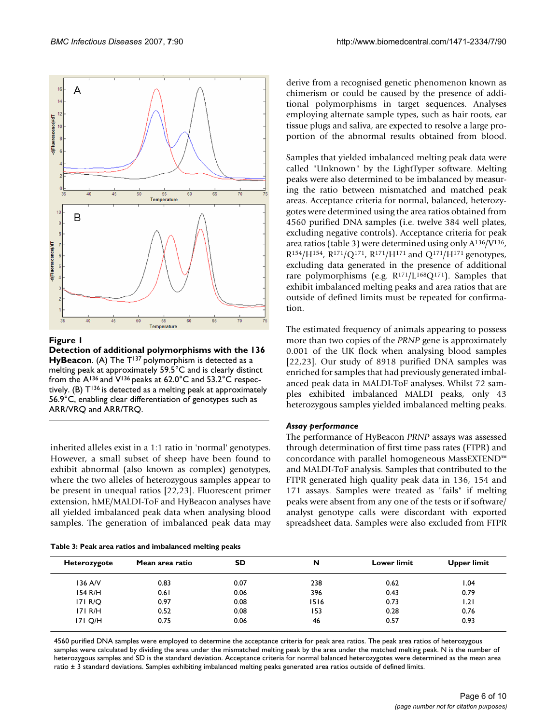

**Figure 1** 

**Detection of additional polymorphisms with the 136**  HyBeacon. (A) The T<sup>137</sup> polymorphism is detected as a melting peak at approximately 59.5°C and is clearly distinct from the A136 and V136 peaks at 62.0°C and 53.2°C respectively. (B)  $T^{136}$  is detected as a melting peak at approximately 56.9°C, enabling clear differentiation of genotypes such as ARR/VRQ and ARR/TRQ.

inherited alleles exist in a 1:1 ratio in 'normal' genotypes. However, a small subset of sheep have been found to exhibit abnormal (also known as complex) genotypes, where the two alleles of heterozygous samples appear to be present in unequal ratios [22,23]. Fluorescent primer extension, hME/MALDI-ToF and HyBeacon analyses have all yielded imbalanced peak data when analysing blood samples. The generation of imbalanced peak data may

| Table 3: Peak area ratios and imbalanced melting peaks |  |  |
|--------------------------------------------------------|--|--|
|--------------------------------------------------------|--|--|

derive from a recognised genetic phenomenon known as chimerism or could be caused by the presence of additional polymorphisms in target sequences. Analyses employing alternate sample types, such as hair roots, ear tissue plugs and saliva, are expected to resolve a large proportion of the abnormal results obtained from blood.

Samples that yielded imbalanced melting peak data were called "Unknown" by the LightTyper software. Melting peaks were also determined to be imbalanced by measuring the ratio between mismatched and matched peak areas. Acceptance criteria for normal, balanced, heterozygotes were determined using the area ratios obtained from 4560 purified DNA samples (i.e. twelve 384 well plates, excluding negative controls). Acceptance criteria for peak area ratios (table 3) were determined using only A136/V136,  $R^{154}/H^{154}$ ,  $R^{171}/Q^{171}$ ,  $R^{171}/H^{171}$  and  $Q^{171}/H^{171}$  genotypes, excluding data generated in the presence of additional rare polymorphisms (e.g.  $R^{171}/L^{168}Q^{171}$ ). Samples that exhibit imbalanced melting peaks and area ratios that are outside of defined limits must be repeated for confirmation.

The estimated frequency of animals appearing to possess more than two copies of the *PRNP* gene is approximately 0.001 of the UK flock when analysing blood samples [22,23]. Our study of 8918 purified DNA samples was enriched for samples that had previously generated imbalanced peak data in MALDI-ToF analyses. Whilst 72 samples exhibited imbalanced MALDI peaks, only 43 heterozygous samples yielded imbalanced melting peaks.

## *Assay performance*

The performance of HyBeacon *PRNP* assays was assessed through determination of first time pass rates (FTPR) and concordance with parallel homogeneous MassEXTEND™ and MALDI-ToF analysis. Samples that contributed to the FTPR generated high quality peak data in 136, 154 and 171 assays. Samples were treated as "fails" if melting peaks were absent from any one of the tests or if software/ analyst genotype calls were discordant with exported spreadsheet data. Samples were also excluded from FTPR

| Heterozygote | Mean area ratio | SD   | N    | <b>Lower limit</b> | <b>Upper limit</b> |
|--------------|-----------------|------|------|--------------------|--------------------|
| 136 A/V      | 0.83            | 0.07 | 238  | 0.62               | I.04               |
| 154 R/H      | 0.61            | 0.06 | 396  | 0.43               | 0.79               |
| 171 R/Q      | 0.97            | 0.08 | 1516 | 0.73               | 1.21               |
| 171 R/H      | 0.52            | 0.08 | 153  | 0.28               | 0.76               |
| 171 Q/H      | 0.75            | 0.06 | 46   | 0.57               | 0.93               |

4560 purified DNA samples were employed to determine the acceptance criteria for peak area ratios. The peak area ratios of heterozygous samples were calculated by dividing the area under the mismatched melting peak by the area under the matched melting peak. N is the number of heterozygous samples and SD is the standard deviation. Acceptance criteria for normal balanced heterozygotes were determined as the mean area ratio ± 3 standard deviations. Samples exhibiting imbalanced melting peaks generated area ratios outside of defined limits.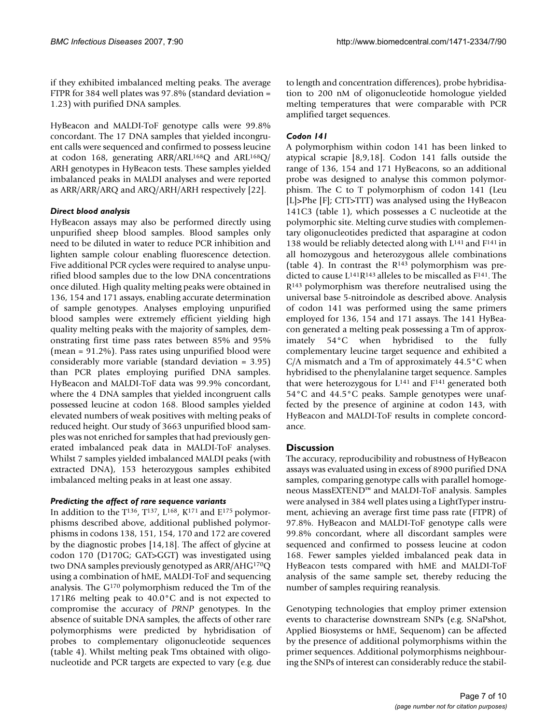if they exhibited imbalanced melting peaks. The average FTPR for 384 well plates was 97.8% (standard deviation = 1.23) with purified DNA samples.

HyBeacon and MALDI-ToF genotype calls were 99.8% concordant. The 17 DNA samples that yielded incongruent calls were sequenced and confirmed to possess leucine at codon 168, generating ARR/ARL<sup>168</sup>Q and ARL<sup>168</sup>Q/ ARH genotypes in HyBeacon tests. These samples yielded imbalanced peaks in MALDI analyses and were reported as ARR/ARR/ARQ and ARQ/ARH/ARH respectively [22].

### *Direct blood analysis*

HyBeacon assays may also be performed directly using unpurified sheep blood samples. Blood samples only need to be diluted in water to reduce PCR inhibition and lighten sample colour enabling fluorescence detection. Five additional PCR cycles were required to analyse unpurified blood samples due to the low DNA concentrations once diluted. High quality melting peaks were obtained in 136, 154 and 171 assays, enabling accurate determination of sample genotypes. Analyses employing unpurified blood samples were extremely efficient yielding high quality melting peaks with the majority of samples, demonstrating first time pass rates between 85% and 95% (mean = 91.2%). Pass rates using unpurified blood were considerably more variable (standard deviation = 3.95) than PCR plates employing purified DNA samples. HyBeacon and MALDI-ToF data was 99.9% concordant, where the 4 DNA samples that yielded incongruent calls possessed leucine at codon 168. Blood samples yielded elevated numbers of weak positives with melting peaks of reduced height. Our study of 3663 unpurified blood samples was not enriched for samples that had previously generated imbalanced peak data in MALDI-ToF analyses. Whilst 7 samples yielded imbalanced MALDI peaks (with extracted DNA), 153 heterozygous samples exhibited imbalanced melting peaks in at least one assay.

## *Predicting the affect of rare sequence variants*

In addition to the  $T^{136}$ ,  $T^{137}$ ,  $L^{168}$ ,  $K^{171}$  and  $E^{175}$  polymorphisms described above, additional published polymorphisms in codons 138, 151, 154, 170 and 172 are covered by the diagnostic probes [14,18]. The affect of glycine at codon 170 (D170G; GAT>GGT) was investigated using two DNA samples previously genotyped as ARR/AHG170Q using a combination of hME, MALDI-ToF and sequencing analysis. The G170 polymorphism reduced the Tm of the 171R6 melting peak to 40.0°C and is not expected to compromise the accuracy of *PRNP* genotypes. In the absence of suitable DNA samples, the affects of other rare polymorphisms were predicted by hybridisation of probes to complementary oligonucleotide sequences (table 4). Whilst melting peak Tms obtained with oligonucleotide and PCR targets are expected to vary (e.g. due to length and concentration differences), probe hybridisation to 200 nM of oligonucleotide homologue yielded melting temperatures that were comparable with PCR amplified target sequences.

## *Codon 141*

A polymorphism within codon 141 has been linked to atypical scrapie [8,9,18]. Codon 141 falls outside the range of 136, 154 and 171 HyBeacons, so an additional probe was designed to analyse this common polymorphism. The C to T polymorphism of codon 141 (Leu [L]>Phe [F]; CTT>TTT) was analysed using the HyBeacon 141C3 (table 1), which possesses a C nucleotide at the polymorphic site. Melting curve studies with complementary oligonucleotides predicted that asparagine at codon 138 would be reliably detected along with L<sup>141</sup> and F<sup>141</sup> in all homozygous and heterozygous allele combinations (table 4). In contrast the  $R^{143}$  polymorphism was predicted to cause L141R143 alleles to be miscalled as F141. The R143 polymorphism was therefore neutralised using the universal base 5-nitroindole as described above. Analysis of codon 141 was performed using the same primers employed for 136, 154 and 171 assays. The 141 HyBeacon generated a melting peak possessing a Tm of approximately 54°C when hybridised to the fully complementary leucine target sequence and exhibited a C/A mismatch and a Tm of approximately 44.5°C when hybridised to the phenylalanine target sequence. Samples that were heterozygous for  $L^{141}$  and  $F^{141}$  generated both 54°C and 44.5°C peaks. Sample genotypes were unaffected by the presence of arginine at codon 143, with HyBeacon and MALDI-ToF results in complete concordance.

## **Discussion**

The accuracy, reproducibility and robustness of HyBeacon assays was evaluated using in excess of 8900 purified DNA samples, comparing genotype calls with parallel homogeneous MassEXTEND™ and MALDI-ToF analysis. Samples were analysed in 384 well plates using a LightTyper instrument, achieving an average first time pass rate (FTPR) of 97.8%. HyBeacon and MALDI-ToF genotype calls were 99.8% concordant, where all discordant samples were sequenced and confirmed to possess leucine at codon 168. Fewer samples yielded imbalanced peak data in HyBeacon tests compared with hME and MALDI-ToF analysis of the same sample set, thereby reducing the number of samples requiring reanalysis.

Genotyping technologies that employ primer extension events to characterise downstream SNPs (e.g. SNaPshot, Applied Biosystems or hME, Sequenom) can be affected by the presence of additional polymorphisms within the primer sequences. Additional polymorphisms neighbouring the SNPs of interest can considerably reduce the stabil-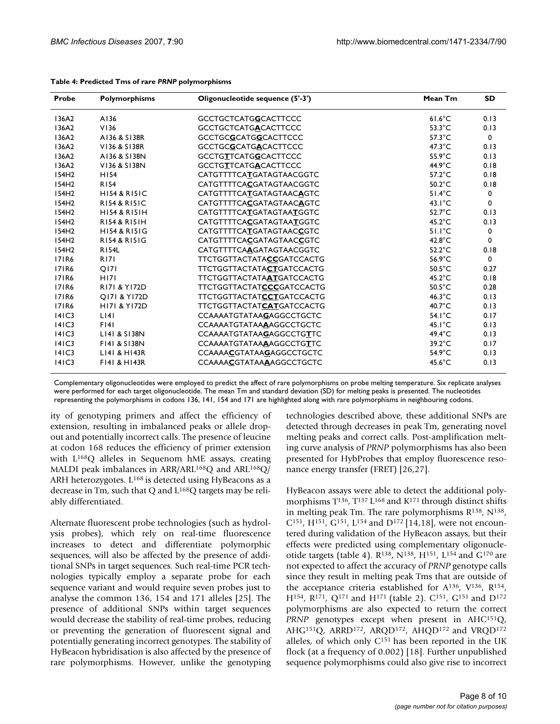| Probe             | Polymorphisms           | Oligonucleotide sequence (5'-3') | Mean Tm          | <b>SD</b> |
|-------------------|-------------------------|----------------------------------|------------------|-----------|
| 136A2             | A136                    | <b>GCCTGCTCATGGCACTTCCC</b>      | $61.6^{\circ}$ C | 0.13      |
| 136A2             | V136                    | <b>GCCTGCTCATGACACTTCCC</b>      | $53.3^{\circ}$ C | 0.13      |
| 136A2             | A136 & S138R            | GCCTGCGCATGGCACTTCCC             | $57.3^{\circ}$ C | 0         |
| 136A2             | V136 & S138R            | <b>GCCTGCGCATGACACTTCCC</b>      | $47.3^{\circ}$ C | 0.13      |
| 136A2             | A136 & S138N            | <b>GCCTGTTCATGGCACTTCCC</b>      | $55.9^{\circ}$ C | 0.13      |
| 136A2             | V136 & S138N            | <b>GCCTGTTCATGACACTTCCC</b>      | $44.9^{\circ}$ C | 0.18      |
| 154H <sub>2</sub> | H154                    | CATGTTTTCATGATAGTAACGGTC         | $57.2^{\circ}$ C | 0.18      |
| 154H <sub>2</sub> | <b>R154</b>             | CATGTTTTCACGATAGTAACGGTC         | $50.2^{\circ}$ C | 0.18      |
| 154H <sub>2</sub> | <b>HI54 &amp; RI5IC</b> | CATGTTTTCATGATAGTAACAGTC         | $51.4^{\circ}$ C | 0         |
| 154H2             | <b>RI54 &amp; RI5IC</b> | CATGTTTTCACGATAGTAACAGTC         | $43.1^{\circ}$ C | 0         |
| 154H <sub>2</sub> | <b>HI54 &amp; RI51H</b> | CATGTTTTCATGATAGTAATGGTC         | $52.7^{\circ}$ C | 0.13      |
| 154H2             | R154 & R151H            | CATGTTTTCACGATAGTAATGGTC         | $45.2^{\circ}$ C | 0.13      |
| 154H <sub>2</sub> | <b>HI54 &amp; RI51G</b> | CATGTTTTCATGATAGTAACCGTC         | $51.1^{\circ}$ C | 0         |
| 154H2             | <b>RI54 &amp; RI51G</b> | CATGTTTTCACGATAGTAACCGTC         | $42.8^{\circ}$ C | 0         |
| 154H <sub>2</sub> | <b>R154L</b>            | CATGTTTTCAAGATAGTAACGGTC         | $52.2^{\circ}$ C | 0.18      |
| <b>171R6</b>      | <b>R171</b>             | TTCTGGTTACTATACCGATCCACTG        | $56.9^{\circ}$ C | 0         |
| <b>171R6</b>      | <b>O171</b>             | TTCTGGTTACTATACTGATCCACTG        | $50.5^{\circ}$ C | 0.27      |
| <b>171R6</b>      | H <sub>17</sub>         | TTCTGGTTACTATAATGATCCACTG        | $45.2^{\circ}$ C | 0.18      |
| <b>171R6</b>      | R171 & Y172D            | TTCTGGTTACTATCCCGATCCACTG        | $50.5^{\circ}$ C | 0.28      |
| <b>171R6</b>      | Q171 & Y172D            | TTCTGGTTACTATCCTGATCCACTG        | $46.3^{\circ}$ C | 0.13      |
| <b>171R6</b>      | <b>HI71 &amp; YI72D</b> | TTCTGGTTACTATCATGATCCACTG        | $40.7^{\circ}$ C | 0.13      |
| 4 C3              | LI4I                    | <b>CCAAAATGTATAAGAGGCCTGCTC</b>  | $54.1^{\circ}$ C | 0.17      |
| 4 C3              | F[4]                    | CCAAAATGTATAAAAGGCCTGCTC         | $45.1^{\circ}$ C | 0.13      |
| 4 C3              | L141 & S138N            | <b>CCAAAATGTATAAGAGGCCTGTTC</b>  | $49.4^{\circ}$ C | 0.13      |
| 4 C3              | F141 & S138N            | CCAAAATGTATAAAAGGCCTGTTC         | $39.2^{\circ}$ C | 0.17      |
| 4 C3              | L141 & H143R            | <b>CCAAAACGTATAAGAGGCCTGCTC</b>  | $54.9^{\circ}$ C | 0.13      |
| 4 C3              | F141 & H143R            | <b>CCAAAACGTATAAAAGGCCTGCTC</b>  | $45.6^{\circ}$ C | 0.13      |

#### **Table 4: Predicted Tms of rare** *PRNP* **polymorphisms**

Complementary oligonucleotides were employed to predict the affect of rare polymorphisms on probe melting temperature. Six replicate analyses were performed for each target oligonucleotide. The mean Tm and standard deviation (SD) for melting peaks is presented. The nucleotides representing the polymorphisms in codons 136, 141, 154 and 171 are highlighted along with rare polymorphisms in neighbouring codons.

ity of genotyping primers and affect the efficiency of extension, resulting in imbalanced peaks or allele dropout and potentially incorrect calls. The presence of leucine at codon 168 reduces the efficiency of primer extension with L168Q alleles in Sequenom hME assays, creating MALDI peak imbalances in ARR/ARL<sup>168</sup>Q and ARL<sup>168</sup>Q/ ARH heterozygotes.  $L^{168}$  is detected using HyBeacons as a decrease in Tm, such that Q and L168Q targets may be reliably differentiated.

Alternate fluorescent probe technologies (such as hydrolysis probes), which rely on real-time fluorescence increases to detect and differentiate polymorphic sequences, will also be affected by the presence of additional SNPs in target sequences. Such real-time PCR technologies typically employ a separate probe for each sequence variant and would require seven probes just to analyse the common 136, 154 and 171 alleles [25]. The presence of additional SNPs within target sequences would decrease the stability of real-time probes, reducing or preventing the generation of fluorescent signal and potentially generating incorrect genotypes. The stability of HyBeacon hybridisation is also affected by the presence of rare polymorphisms. However, unlike the genotyping technologies described above, these additional SNPs are detected through decreases in peak Tm, generating novel melting peaks and correct calls. Post-amplification melting curve analysis of *PRNP* polymorphisms has also been presented for HybProbes that employ fluorescence resonance energy transfer (FRET) [26,[27](#page-9-0)].

HyBeacon assays were able to detect the additional polymorphisms T<sup>136</sup>, T<sup>137</sup> L<sup>168</sup> and K<sup>171</sup> through distinct shifts in melting peak Tm. The rare polymorphisms  $R^{138}$ ,  $N^{138}$ ,  $C^{151}$ , H<sup>151</sup>, G<sup>151</sup>, L<sup>154</sup> and D<sup>172</sup> [14,18], were not encountered during validation of the HyBeacon assays, but their effects were predicted using complementary oligonucleotide targets (table 4). R138, N138, H151, L154 and G170 are not expected to affect the accuracy of *PRNP* genotype calls since they result in melting peak Tms that are outside of the acceptance criteria established for  $A^{136}$ ,  $V^{136}$ ,  $R^{154}$ , H154, R171, Q171 and H171 (table 2). C151, G151 and D172 polymorphisms are also expected to return the correct *PRNP* genotypes except when present in AHC<sup>151</sup>Q, AHG151Q, ARRD172, ARQD172, AHQD172 and VRQD172 alleles, of which only  $C^{151}$  has been reported in the UK flock (at a frequency of 0.002) [18]. Further unpublished sequence polymorphisms could also give rise to incorrect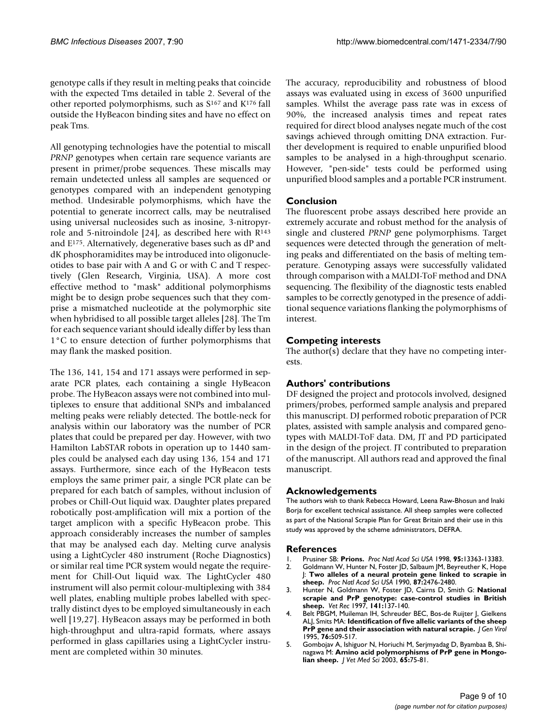genotype calls if they result in melting peaks that coincide with the expected Tms detailed in table 2. Several of the other reported polymorphisms, such as S167 and K176 fall outside the HyBeacon binding sites and have no effect on peak Tms.

All genotyping technologies have the potential to miscall *PRNP* genotypes when certain rare sequence variants are present in primer/probe sequences. These miscalls may remain undetected unless all samples are sequenced or genotypes compared with an independent genotyping method. Undesirable polymorphisms, which have the potential to generate incorrect calls, may be neutralised using universal nucleosides such as inosine, 3-nitropyrrole and 5-nitroindole [24], as described here with  $R^{143}$ and E175. Alternatively, degenerative bases such as dP and dK phosphoramidites may be introduced into oligonucleotides to base pair with A and G or with C and T respectively (Glen Research, Virginia, USA). A more cost effective method to "mask" additional polymorphisms might be to design probe sequences such that they comprise a mismatched nucleotide at the polymorphic site when hybridised to all possible target alleles [28]. The Tm for each sequence variant should ideally differ by less than 1°C to ensure detection of further polymorphisms that may flank the masked position.

The 136, 141, 154 and 171 assays were performed in separate PCR plates, each containing a single HyBeacon probe. The HyBeacon assays were not combined into multiplexes to ensure that additional SNPs and imbalanced melting peaks were reliably detected. The bottle-neck for analysis within our laboratory was the number of PCR plates that could be prepared per day. However, with two Hamilton LabSTAR robots in operation up to 1440 samples could be analysed each day using 136, 154 and 171 assays. Furthermore, since each of the HyBeacon tests employs the same primer pair, a single PCR plate can be prepared for each batch of samples, without inclusion of probes or Chill-Out liquid wax. Daughter plates prepared robotically post-amplification will mix a portion of the target amplicon with a specific HyBeacon probe. This approach considerably increases the number of samples that may be analysed each day. Melting curve analysis using a LightCycler 480 instrument (Roche Diagnostics) or similar real time PCR system would negate the requirement for Chill-Out liquid wax. The LightCycler 480 instrument will also permit colour-multiplexing with 384 well plates, enabling multiple probes labelled with spectrally distinct dyes to be employed simultaneously in each well [19,[27\]](#page-9-0). HyBeacon assays may be performed in both high-throughput and ultra-rapid formats, where assays performed in glass capillaries using a LightCycler instrument are completed within 30 minutes.

The accuracy, reproducibility and robustness of blood assays was evaluated using in excess of 3600 unpurified samples. Whilst the average pass rate was in excess of 90%, the increased analysis times and repeat rates required for direct blood analyses negate much of the cost savings achieved through omitting DNA extraction. Further development is required to enable unpurified blood samples to be analysed in a high-throughput scenario. However, "pen-side" tests could be performed using unpurified blood samples and a portable PCR instrument.

## **Conclusion**

The fluorescent probe assays described here provide an extremely accurate and robust method for the analysis of single and clustered *PRNP* gene polymorphisms. Target sequences were detected through the generation of melting peaks and differentiated on the basis of melting temperature. Genotyping assays were successfully validated through comparison with a MALDI-ToF method and DNA sequencing. The flexibility of the diagnostic tests enabled samples to be correctly genotyped in the presence of additional sequence variations flanking the polymorphisms of interest.

## **Competing interests**

The author(s) declare that they have no competing interests.

## **Authors' contributions**

DF designed the project and protocols involved, designed primers/probes, performed sample analysis and prepared this manuscript. DJ performed robotic preparation of PCR plates, assisted with sample analysis and compared genotypes with MALDI-ToF data. DM, JT and PD participated in the design of the project. JT contributed to preparation of the manuscript. All authors read and approved the final manuscript.

## **Acknowledgements**

The authors wish to thank Rebecca Howard, Leena Raw-Bhosun and Inaki Borja for excellent technical assistance. All sheep samples were collected as part of the National Scrapie Plan for Great Britain and their use in this study was approved by the scheme administrators, DEFRA.

## **References**

- 1. Prusiner SB: **[Prions.](http://www.ncbi.nlm.nih.gov/entrez/query.fcgi?cmd=Retrieve&db=PubMed&dopt=Abstract&list_uids=9811807)** *Proc Natl Acad Sci USA* 1998, **95:**13363-13383.
- 2. Goldmann W, Hunter N, Foster JD, Salbaum JM, Beyreuther K, Hope J: **[Two alleles of a neural protein gene linked to scrapie in](http://www.ncbi.nlm.nih.gov/entrez/query.fcgi?cmd=Retrieve&db=PubMed&dopt=Abstract&list_uids=1969635) [sheep.](http://www.ncbi.nlm.nih.gov/entrez/query.fcgi?cmd=Retrieve&db=PubMed&dopt=Abstract&list_uids=1969635)** *Proc Natl Acad Sci USA* 1990, **87:**2476-2480.
- 3. Hunter N, Goldmann W, Foster JD, Cairns D, Smith G: **[National](http://www.ncbi.nlm.nih.gov/entrez/query.fcgi?cmd=Retrieve&db=PubMed&dopt=Abstract&list_uids=9280041) [scrapie and PrP genotype: case-control studies in British](http://www.ncbi.nlm.nih.gov/entrez/query.fcgi?cmd=Retrieve&db=PubMed&dopt=Abstract&list_uids=9280041) [sheep.](http://www.ncbi.nlm.nih.gov/entrez/query.fcgi?cmd=Retrieve&db=PubMed&dopt=Abstract&list_uids=9280041)** *Vet Rec* 1997, **141:**137-140.
- 4. Belt PBGM, Muileman IH, Schreuder BEC, Bos-de Ruijter J, Gielkens ALJ, Smits MA: **[Identification of five allelic variants of the sheep](http://www.ncbi.nlm.nih.gov/entrez/query.fcgi?cmd=Retrieve&db=PubMed&dopt=Abstract&list_uids=7897344) [PrP gene and their association with natural scrapie.](http://www.ncbi.nlm.nih.gov/entrez/query.fcgi?cmd=Retrieve&db=PubMed&dopt=Abstract&list_uids=7897344)** *J Gen Virol* 1995, **76:**509-517.
- 5. Gombojav A, Ishiguor N, Horiuchi M, Serjmyadag D, Byambaa B, Shinagawa M: **[Amino acid polymorphisms of PrP gene in Mongo](http://www.ncbi.nlm.nih.gov/entrez/query.fcgi?cmd=Retrieve&db=PubMed&dopt=Abstract&list_uids=12576708)[lian sheep.](http://www.ncbi.nlm.nih.gov/entrez/query.fcgi?cmd=Retrieve&db=PubMed&dopt=Abstract&list_uids=12576708)** *J Vet Med Sci* 2003, **65:**75-81.